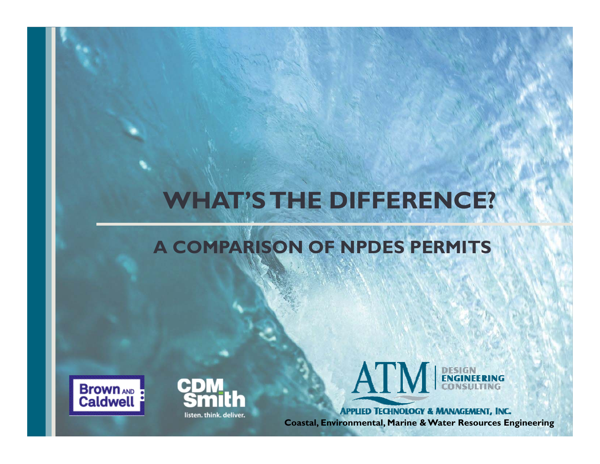# **WHAT'S THE DIFFERENCE?**

#### **A COMPARISON OF NPDES PERMITS**







**APPLIED TECHNOLOGY & MANAGEMENT, INC. Coastal, Environmental, Marine & Water Resources Engineering**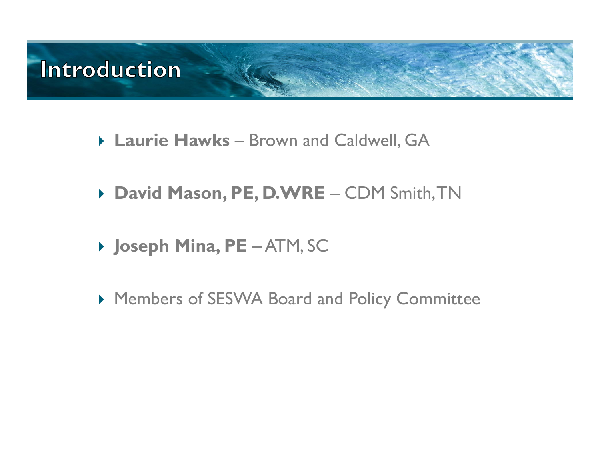

- **Laurie Hawks**  Brown and Caldwell, GA
- **David Mason, PE, D.WRE**  CDM Smith, TN
- **Joseph Mina, PE**  ATM, SC
- Members of SESWA Board and Policy Committee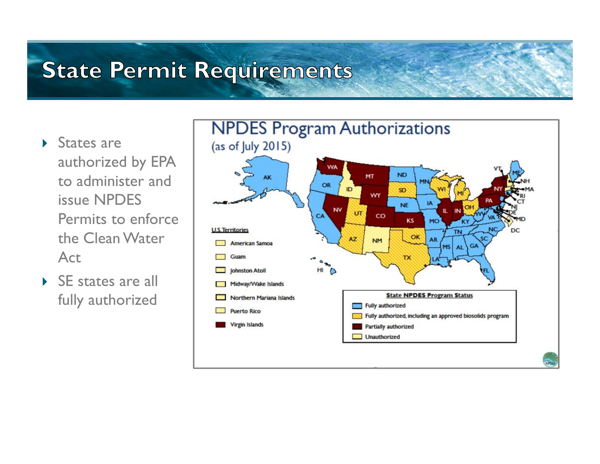### **State Permit Requirements**

- ▶ States are authorized by EPA to administer and issue NPDES Permits to enforce the Clean Water Act
- ▶ SE states are all fully authorized

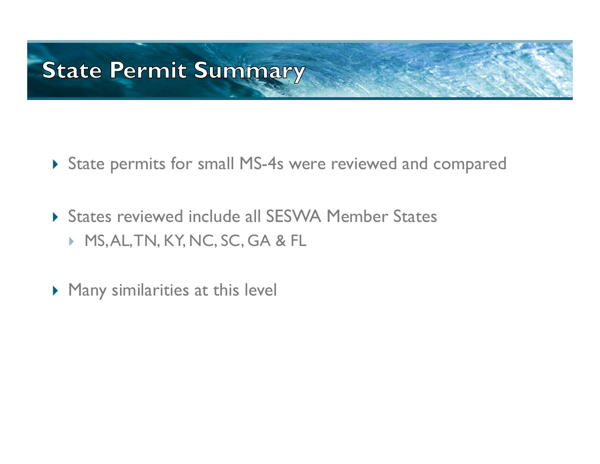### **State Permit Summary**

- State permits for small MS-4s were reviewed and compared
- States reviewed include all SESWA Member States MS, AL, TN, KY, NC, SC, GA & FL
- $\blacktriangleright$  Many similarities at this level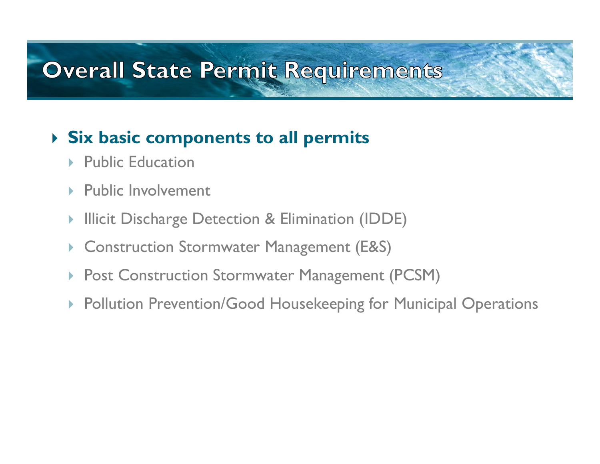#### **Overall State Permit Requirements**

#### **Six basic components to all permits**

- $\triangleright$  Public Education
- ▶ Public Involvement
- Þ Illicit Discharge Detection & Elimination (IDDE)
- $\blacktriangleright$ Construction Stormwater Management (E&S)
- $\blacktriangleright$ Post Construction Stormwater Management (PCSM)
- Pollution Prevention/Good Housekeeping for Municipal Operations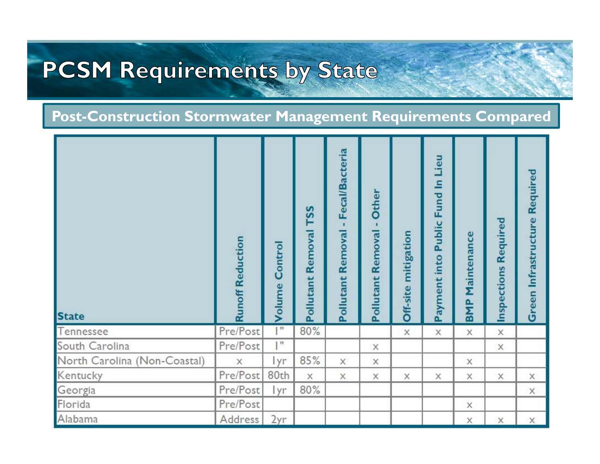# **PCSM Requirements by State**

#### **Post-Construction Stormwater Management Requirements Compared**

| <b>State</b>                 | <b>Runoff Reduction</b> | Control<br>Volume | TSS<br>Pollutant Removal | <b>Fecal/Bacteria</b><br>×<br>Pollutant Removal | <b>Other</b><br>Pollutant Removal - | mitigation<br>Off-site | Public Fund In Lieu<br>Payment into | Maintenance<br><b>BMP</b> | Required<br>Inspections | <b>Green Infrastructure Required</b> |
|------------------------------|-------------------------|-------------------|--------------------------|-------------------------------------------------|-------------------------------------|------------------------|-------------------------------------|---------------------------|-------------------------|--------------------------------------|
| Tennessee                    | Pre/Post                | $\mathbb{I}^n$    | 80%                      |                                                 |                                     | $\times$               | X                                   | X                         | $\times$                |                                      |
| South Carolina               | Pre/Post                | $\mathbb{I}^n$    |                          |                                                 | X                                   |                        |                                     |                           | X                       |                                      |
| North Carolina (Non-Coastal) | $\mathsf X$             | lyr               | 85%                      | X                                               | X                                   |                        |                                     | X                         |                         |                                      |
| Kentucky                     | Pre/Post                | 80th              | X                        | X                                               | X                                   | X                      | Χ                                   | X                         | X                       | X                                    |
| Georgia                      | Pre/Post                | lyr               | 80%                      |                                                 |                                     |                        |                                     |                           |                         | X                                    |
| Florida                      | Pre/Post                |                   |                          |                                                 |                                     |                        |                                     | $\times$                  |                         |                                      |
| Alabama                      | Address                 | 2yr               |                          |                                                 |                                     |                        |                                     | X                         | X                       | X                                    |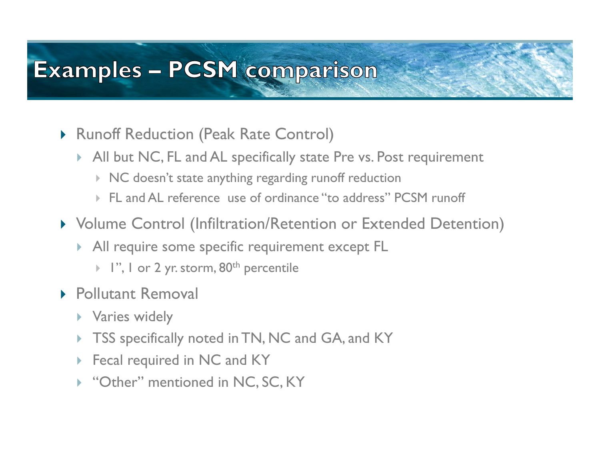### **Examples - PCSM comparison**

- Runoff Reduction (Peak Rate Control)
	- All but NC, FL and AL specifically state Pre vs. Post requirement
		- $\triangleright$   $\,$   $\sf NC$  doesn't state anything regarding runoff reduction
		- FL and AL reference use of ordinance "to address" PCSM runoff
- Volume Control (Infiltration/Retention or Extended Detention)
	- All require some specific requirement except FL
		- $\blacktriangleright$  1", 1 or 2 yr. storm,  $80^{\text{th}}$  percentile
- ▶ Pollutant Removal
	- ▶ Varies widely
	- $\blacktriangleright$ TSS specifically noted in TN, NC and GA, and KY
	- ▶ Fecal required in NC and KY
	- ▶ "Other" mentioned in NC, SC, KY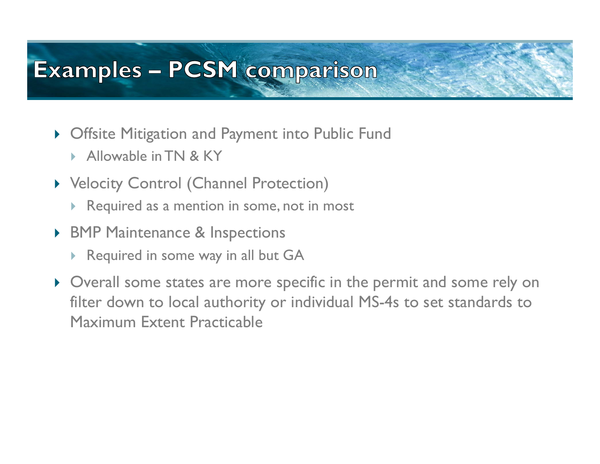### **Examples - PCSM comparison**

- Offsite Mitigation and Payment into Public Fund
	- $\blacktriangleright$ Allowable in TN & KY
- **>** Velocity Control (Channel Protection)
	- $\blacktriangleright$ Required as a mention in some, not in most
- ▶ BMP Maintenance & Inspections
	- $\blacktriangleright$ Required in some way in all but GA
- Overall some states are more specific in the permit and some rely on filter down to local authority or individual MS-4s to set standards to Maximum Extent Practicable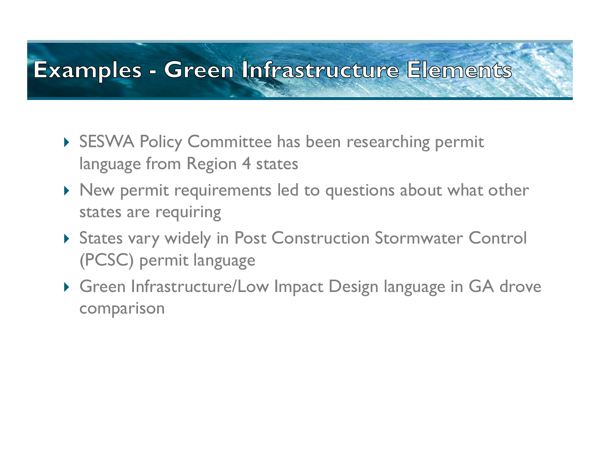### **Examples - Green Infrastructure Elements**

- ▶ SESWA Policy Committee has been researching permit language from Region 4 states
- $\blacktriangleright$  New permit requirements led to questions about what other states are requiring
- States vary widely in Post Construction Stormwater Control (PCSC) permit language
- Green Infrastructure/Low Impact Design language in GA drove comparison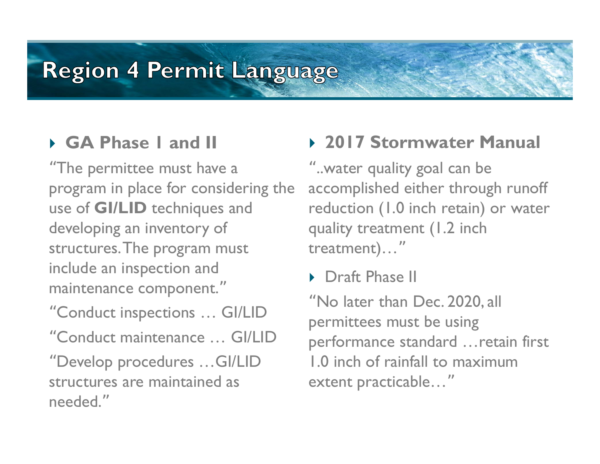#### **GA Phase 1 and II**

"The permittee must have a program in place for considering the use of **GI/LID** techniques and developing an inventory of structures. The program must include an inspection and maintenance component. "

"Conduct inspections … GI/LID "Conduct maintenance … GI/LID "Develop procedures …GI/LID structures are maintained as needed."

#### **2017 Stormwater Manual**

"..water quality goal can be accomplished either through runoff reduction (1.0 inch retain) or water quality treatment (1.2 inch treatment)… "

▶ Draft Phase II

"No later than Dec. 2020, all permittees must be using performance standard …retain first 1.0 inch of rainfall to maximum extent practicable… "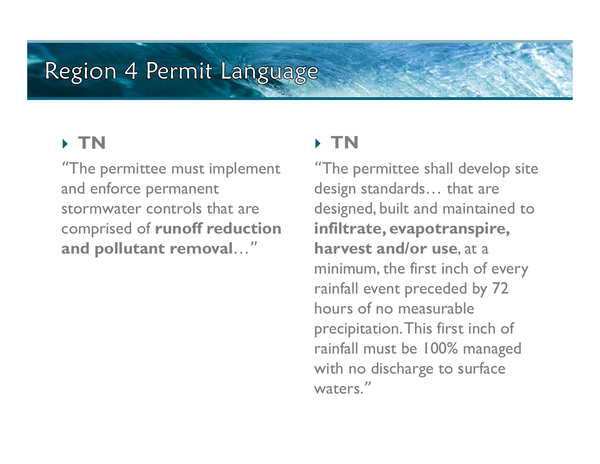#### **TN**

"The permittee must implement and enforce permanent stormwater controls that are comprised of **runoff reduction and pollutant removal**…"

#### **TN**

"The permittee shall develop site design standards… that are designed, built and maintained to **infiltrate, evapotranspire, harvest and/or use**, at a minimum, the first inch of every rainfall event preceded by 72 hours of no measurable precipitation. This first inch of rainfall must be 100% managed with no discharge to surface waters."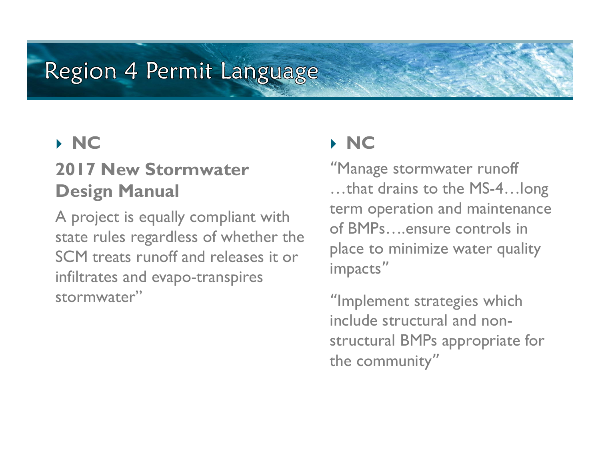#### **NC**

#### **2017 New Stormwater Design Manual**

A project is equally compliant with state rules regardless of whether the SCM treats runoff and releases it or infiltrates and evapo-transpires stormwater"

#### **NC**

"Manage stormwater runoff …that drains to the MS-4…long term operation and maintenance of BMPs….ensure controls in place to minimize water quality impacts "

"Implement strategies which include structural and nonstructural BMPs appropriate for the community "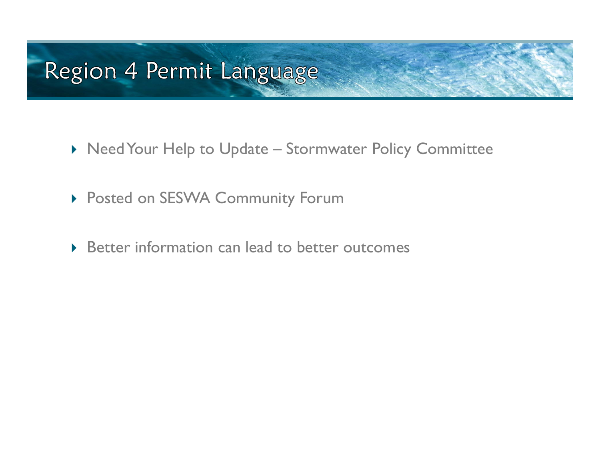- $\blacktriangleright$  Need Your Help to Update Stormwater Policy Committee
- Posted on SESWA Community Forum
- ▶ Better information can lead to better outcomes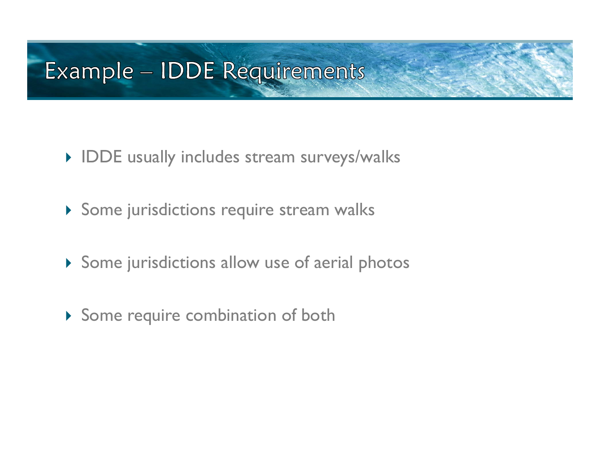### Example - IDDE Requirements

- **IDDE** usually includes stream surveys/walks
- Some jurisdictions require stream walks
- Some jurisdictions allow use of aerial photos
- Some require combination of both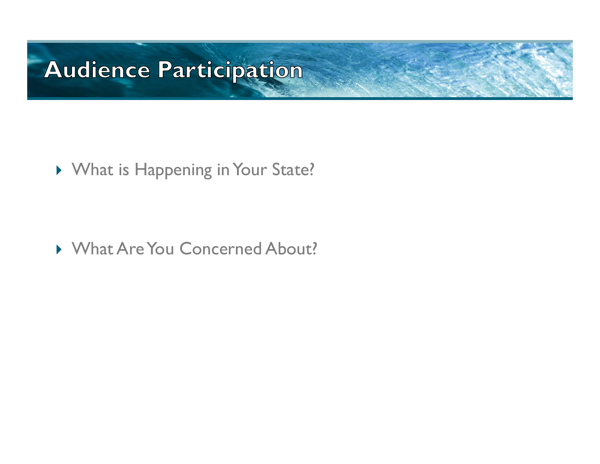### **Audience Participation**

▶ What is Happening in Your State?

What Are You Concerned About?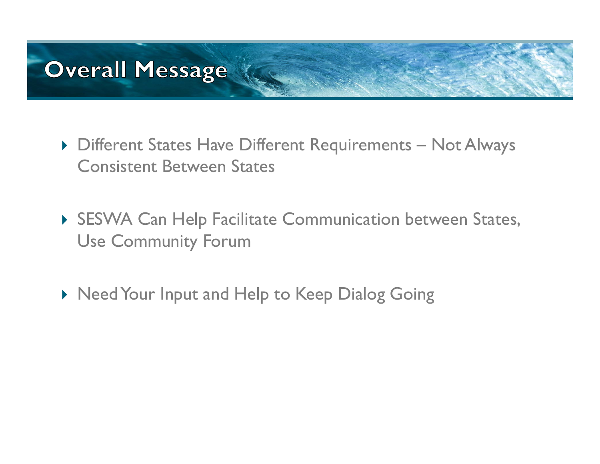# **Overall Message**

- ▶ Different States Have Different Requirements Not Always Consistent Between States
- SESWA Can Help Facilitate Communication between States, Use Community Forum
- ▶ Need Your Input and Help to Keep Dialog Going